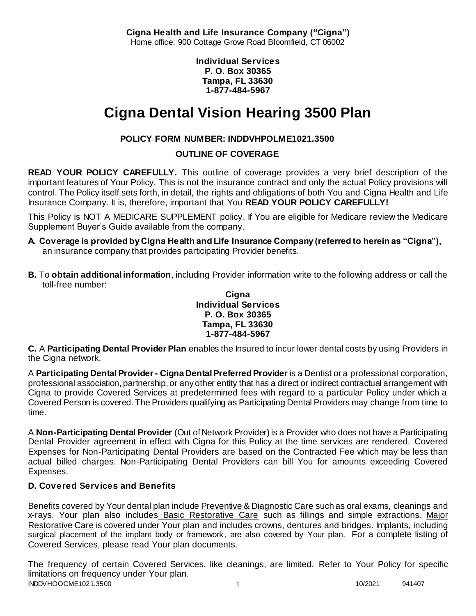**Cigna Health and Life Insurance Company ("Cigna")** Home office: 900 Cottage Grove Road Bloomfield, CT 06002

> **Individual Services P. O. Box 30365 Tampa, FL 33630 1-877-484-5967**

# **Cigna Dental Vision Hearing 3500 Plan**

# **POLICY FORM NUMBER: INDDVHPOLME1021.3500**

**OUTLINE OF COVERAGE** 

**READ YOUR POLICY CAREFULLY.** This outline of coverage provides a very brief description of the important features of Your Policy. This is not the insurance contract and only the actual Policy provisions will control. The Policy itself sets forth, in detail, the rights and obligations of both You and Cigna Health and Life Insurance Company. It is, therefore, important that You **READ YOUR POLICY CAREFULLY!** 

This Policy is NOT A MEDICARE SUPPLEMENT policy. If You are eligible for Medicare review the Medicare Supplement Buyer's Guide available from the company.

- **A. Coverage is provided by Cigna Health and Life Insurance Company (referred to herein as "Cigna"),**  an insurance company that provides participating Provider benefits.
- **B.** To **obtain additional information**, including Provider information write to the following address or call the toll-free number:

**Cigna Individual Services P. O. Box 30365 Tampa, FL 33630 1-877-484-5967**

**C.** A **Participating Dental Provider Plan** enables the Insured to incur lower dental costs by using Providers in the Cigna network.

A **Participating Dental Provider - Cigna Dental Preferred Provider** is a Dentist or a professional corporation, professional association, partnership, or any other entity that has a direct or indirect contractual arrangement with Cigna to provide Covered Services at predetermined fees with regard to a particular Policy under which a Covered Person is covered. The Providers qualifying as Participating Dental Providers may change from time to time.

A **Non-Participating Dental Provider** (Out of Network Provider) is a Provider who does not have a Participating Dental Provider agreement in effect with Cigna for this Policy at the time services are rendered. Covered Expenses for Non-Participating Dental Providers are based on the Contracted Fee which may be less than actual billed charges. Non-Participating Dental Providers can bill You for amounts exceeding Covered Expenses.

# **D. Covered Services and Benefits**

Benefits covered by Your dental plan include Preventive & Diagnostic Care such as oral exams, cleanings and x-rays. Your plan also includes Basic Restorative Care such as fillings and simple extractions. Major Restorative Care is covered under Your plan and includes crowns, dentures and bridges. Implants, including surgical placement of the implant body or framework, are also covered by Your plan. For a complete listing of Covered Services, please read Your plan documents.

INDDVHOOCME1021.3500 1 2021 1 20221 941407 The frequency of certain Covered Services, like cleanings, are limited. Refer to Your Policy for specific limitations on frequency under Your plan.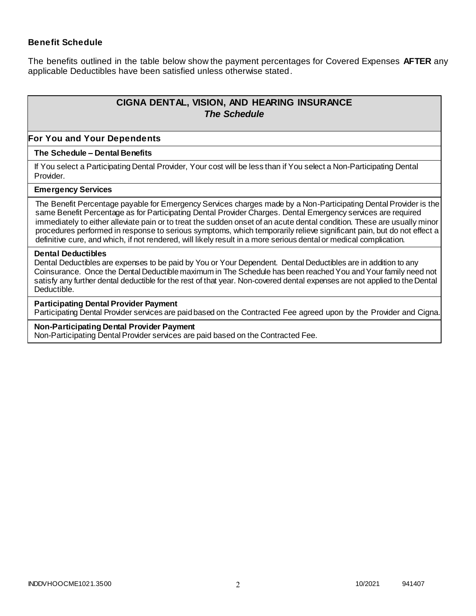### **Benefit Schedule**

The benefits outlined in the table below show the payment percentages for Covered Expenses **AFTER** any applicable Deductibles have been satisfied unless otherwise stated.

# **CIGNA DENTAL, VISION, AND HEARING INSURANCE** *The Schedule*

#### **For You and Your Dependents**

#### **The Schedule – Dental Benefits**

If You select a Participating Dental Provider, Your cost will be less than if You select a Non-Participating Dental Provider.

#### **Emergency Services**

The Benefit Percentage payable for Emergency Services charges made by a Non-Participating Dental Provider is the same Benefit Percentage as for Participating Dental Provider Charges. Dental Emergency services are required immediately to either alleviate pain or to treat the sudden onset of an acute dental condition. These are usually minor procedures performed in response to serious symptoms, which temporarily relieve significant pain, but do not effect a definitive cure, and which, if not rendered, will likely result in a more serious dental or medical complication.

#### **Dental Deductibles**

Dental Deductibles are expenses to be paid by You or Your Dependent. Dental Deductibles are in addition to any Coinsurance. Once the Dental Deductible maximum in The Schedule has been reached You and Your family need not satisfy any further dental deductible for the rest of that year. Non-covered dental expenses are not applied to the Dental Deductible.

#### **Participating Dental Provider Payment**

Participating Dental Provider services are paid based on the Contracted Fee agreed upon by the Provider and Cigna.

#### **Non-Participating Dental Provider Payment**

Non-Participating Dental Provider services are paid based on the Contracted Fee.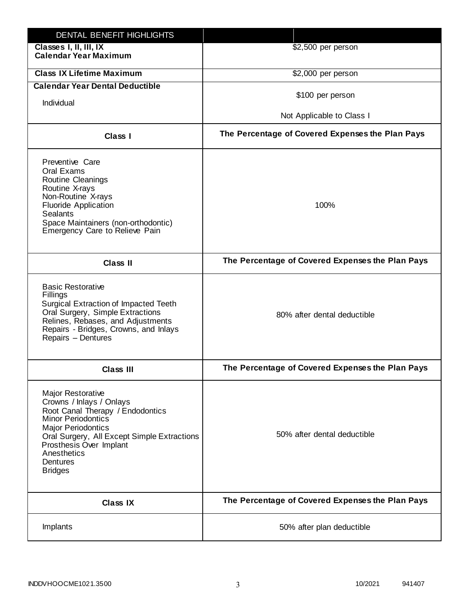| DENTAL BENEFIT HIGHLIGHTS                                                                                                                                                                                                                                                 |                                                  |
|---------------------------------------------------------------------------------------------------------------------------------------------------------------------------------------------------------------------------------------------------------------------------|--------------------------------------------------|
| Classes I, II, III, IX<br><b>Calendar Year Maximum</b>                                                                                                                                                                                                                    | \$2,500 per person                               |
| <b>Class IX Lifetime Maximum</b>                                                                                                                                                                                                                                          | \$2,000 per person                               |
| <b>Calendar Year Dental Deductible</b>                                                                                                                                                                                                                                    |                                                  |
| Individual                                                                                                                                                                                                                                                                | \$100 per person                                 |
|                                                                                                                                                                                                                                                                           | Not Applicable to Class I                        |
| Class I                                                                                                                                                                                                                                                                   | The Percentage of Covered Expenses the Plan Pays |
| Preventive Care<br>Oral Exams<br><b>Routine Cleanings</b><br>Routine X-rays<br>Non-Routine X-rays<br><b>Fluoride Application</b><br><b>Sealants</b><br>Space Maintainers (non-orthodontic)<br>Emergency Care to Relieve Pain                                              | 100%                                             |
| <b>Class II</b>                                                                                                                                                                                                                                                           | The Percentage of Covered Expenses the Plan Pays |
| <b>Basic Restorative</b><br>Fillings<br>Surgical Extraction of Impacted Teeth<br>Oral Surgery, Simple Extractions<br>Relines, Rebases, and Adjustments<br>Repairs - Bridges, Crowns, and Inlays<br>Repairs - Dentures                                                     | 80% after dental deductible                      |
| <b>Class III</b>                                                                                                                                                                                                                                                          | The Percentage of Covered Expenses the Plan Pays |
| <b>Major Restorative</b><br>Crowns / Inlays / Onlays<br>Root Canal Therapy / Endodontics<br><b>Minor Periodontics</b><br><b>Major Periodontics</b><br>Oral Surgery, All Except Simple Extractions<br>Prosthesis Over Implant<br>Anesthetics<br>Dentures<br><b>Bridges</b> | 50% after dental deductible                      |
| <b>Class IX</b>                                                                                                                                                                                                                                                           | The Percentage of Covered Expenses the Plan Pays |
| Implants                                                                                                                                                                                                                                                                  | 50% after plan deductible                        |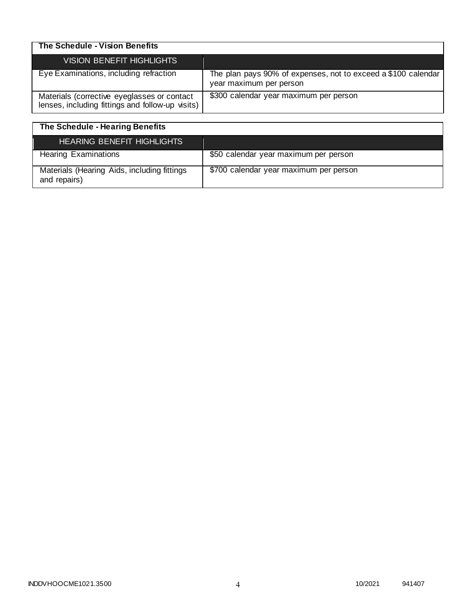| The Schedule - Vision Benefits                                                                  |                                                                                          |
|-------------------------------------------------------------------------------------------------|------------------------------------------------------------------------------------------|
| <b>VISION BENEFIT HIGHLIGHTS</b>                                                                |                                                                                          |
| Eye Examinations, including refraction                                                          | The plan pays 90% of expenses, not to exceed a \$100 calendar<br>year maximum per person |
| Materials (corrective eyeglasses or contact<br>lenses, including fittings and follow-up visits) | \$300 calendar year maximum per person                                                   |

| The Schedule - Hearing Benefits                             |                                        |
|-------------------------------------------------------------|----------------------------------------|
| <b>HEARING BENEFIT HIGHLIGHTS</b>                           |                                        |
| <b>Hearing Examinations</b>                                 | \$50 calendar year maximum per person  |
| Materials (Hearing Aids, including fittings<br>and repairs) | \$700 calendar year maximum per person |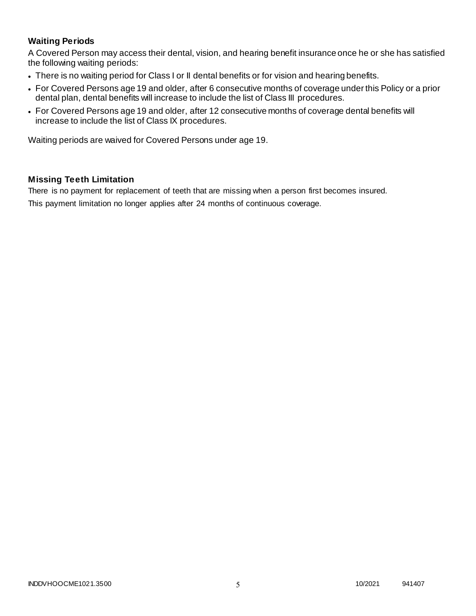# **Waiting Periods**

A Covered Person may access their dental, vision, and hearing benefit insurance once he or she has satisfied the following waiting periods:

- There is no waiting period for Class I or II dental benefits or for vision and hearing benefits.
- For Covered Persons age 19 and older, after 6 consecutive months of coverage under this Policy or a prior dental plan, dental benefits will increase to include the list of Class III procedures.
- For Covered Persons age 19 and older, after 12 consecutive months of coverage dental benefits will increase to include the list of Class IX procedures.

Waiting periods are waived for Covered Persons under age 19.

### **Missing Teeth Limitation**

There is no payment for replacement of teeth that are missing when a person first becomes insured. This payment limitation no longer applies after 24 months of continuous coverage.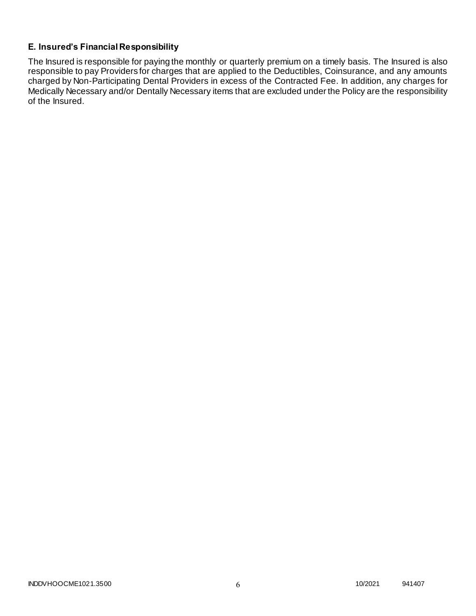# **E. Insured's Financial Responsibility**

The Insured is responsible for paying the monthly or quarterly premium on a timely basis. The Insured is also responsible to pay Providers for charges that are applied to the Deductibles, Coinsurance, and any amounts charged by Non-Participating Dental Providers in excess of the Contracted Fee. In addition, any charges for Medically Necessary and/or Dentally Necessary items that are excluded under the Policy are the responsibility of the Insured.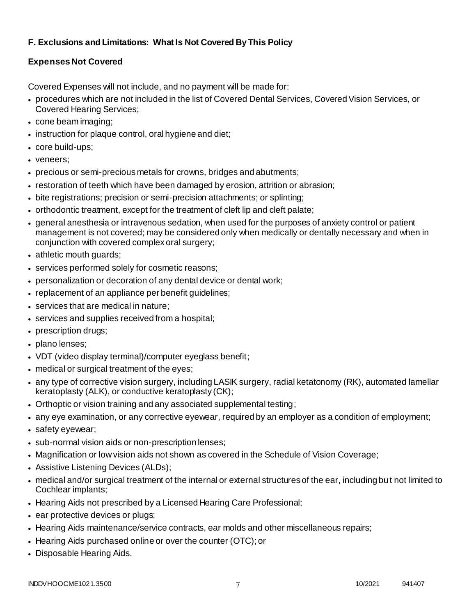# **F. Exclusions and Limitations: What Is Not Covered By This Policy**

# **Expenses Not Covered**

Covered Expenses will not include, and no payment will be made for:

- procedures which are not included in the list of Covered Dental Services, Covered Vision Services, or Covered Hearing Services;
- cone beam imaging;
- instruction for plaque control, oral hygiene and diet;
- core build-ups;
- veneers;
- precious or semi-precious metals for crowns, bridges and abutments;
- restoration of teeth which have been damaged by erosion, attrition or abrasion;
- bite registrations; precision or semi-precision attachments; or splinting;
- orthodontic treatment, except for the treatment of cleft lip and cleft palate;
- general anesthesia or intravenous sedation, when used for the purposes of anxiety control or patient management is not covered; may be considered only when medically or dentally necessary and when in conjunction with covered complex oral surgery;
- athletic mouth guards;
- services performed solely for cosmetic reasons;
- personalization or decoration of any dental device or dental work;
- replacement of an appliance per benefit guidelines;
- services that are medical in nature;
- services and supplies received from a hospital;
- prescription drugs;
- plano lenses;
- VDT (video display terminal)/computer eyeglass benefit;
- medical or surgical treatment of the eyes;
- any type of corrective vision surgery, including LASIK surgery, radial ketatonomy (RK), automated lamellar keratoplasty (ALK), or conductive keratoplasty (CK);
- Orthoptic or vision training and any associated supplemental testing;
- any eye examination, or any corrective eyewear, required by an employer as a condition of employment;
- safety eyewear;
- sub-normal vision aids or non-prescription lenses;
- Magnification or low vision aids not shown as covered in the Schedule of Vision Coverage;
- Assistive Listening Devices (ALDs);
- medical and/or surgical treatment of the internal or external structures of the ear, including bu t not limited to Cochlear implants;
- Hearing Aids not prescribed by a Licensed Hearing Care Professional;
- ear protective devices or plugs;
- Hearing Aids maintenance/service contracts, ear molds and other miscellaneous repairs;
- Hearing Aids purchased online or over the counter (OTC); or
- Disposable Hearing Aids.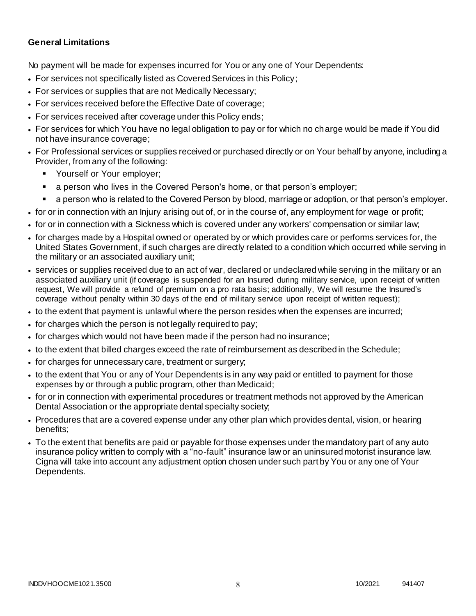### **General Limitations**

No payment will be made for expenses incurred for You or any one of Your Dependents:

- For services not specifically listed as Covered Services in this Policy;
- For services or supplies that are not Medically Necessary;
- For services received before the Effective Date of coverage;
- For services received after coverage under this Policy ends;
- For services for which You have no legal obligation to pay or for which no charge would be made if You did not have insurance coverage;
- For Professional services or supplies received or purchased directly or on Your behalf by anyone, including a Provider, from any of the following:
	- **Yourself or Your employer;**
	- a person who lives in the Covered Person's home, or that person's employer;
	- a person who is related to the Covered Person by blood, marriage or adoption, or that person's employer.
- for or in connection with an Injury arising out of, or in the course of, any employment for wage or profit;
- for or in connection with a Sickness which is covered under any workers' compensation or similar law;
- for charges made by a Hospital owned or operated by or which provides care or performs services for, the United States Government, if such charges are directly related to a condition which occurred while serving in the military or an associated auxiliary unit;
- services or supplies received due to an act of war, declared or undeclared while serving in the military or an associated auxiliary unit (if coverage is suspended for an Insured during military service, upon receipt of written request, We will provide a refund of premium on a pro rata basis; additionally, We will resume the Insured's coverage without penalty within 30 days of the end of military service upon receipt of written request);
- to the extent that payment is unlawful where the person resides when the expenses are incurred;
- for charges which the person is not legally required to pay;
- for charges which would not have been made if the person had no insurance;
- to the extent that billed charges exceed the rate of reimbursement as described in the Schedule;
- for charges for unnecessary care, treatment or surgery;
- to the extent that You or any of Your Dependents is in any way paid or entitled to payment for those expenses by or through a public program, other than Medicaid;
- for or in connection with experimental procedures or treatment methods not approved by the American Dental Association or the appropriate dental specialty society;
- Procedures that are a covered expense under any other plan which provides dental, vision, or hearing benefits;
- To the extent that benefits are paid or payable for those expenses under the mandatory part of any auto insurance policy written to comply with a "no-fault" insurance law or an uninsured motorist insurance law. Cigna will take into account any adjustment option chosen under such part by You or any one of Your Dependents.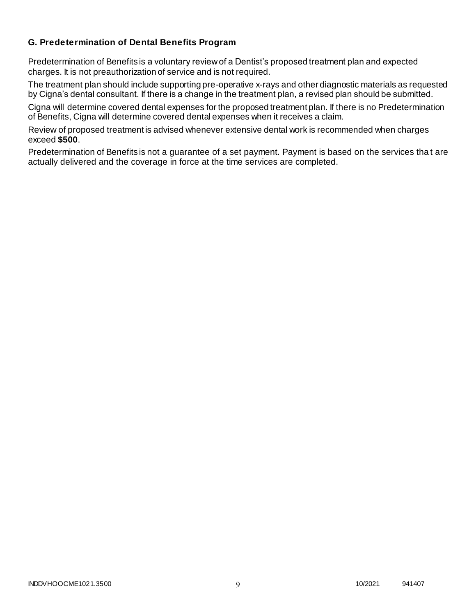### **G. Predetermination of Dental Benefits Program**

Predetermination of Benefits is a voluntary review of a Dentist's proposed treatment plan and expected charges. It is not preauthorization of service and is not required.

The treatment plan should include supporting pre-operative x-rays and other diagnostic materials as requested by Cigna's dental consultant. If there is a change in the treatment plan, a revised plan should be submitted.

Cigna will determine covered dental expenses for the proposed treatment plan. If there is no Predetermination of Benefits, Cigna will determine covered dental expenses when it receives a claim.

Review of proposed treatment is advised whenever extensive dental work is recommended when charges exceed **\$500**.

Predetermination of Benefits is not a guarantee of a set payment. Payment is based on the services tha t are actually delivered and the coverage in force at the time services are completed.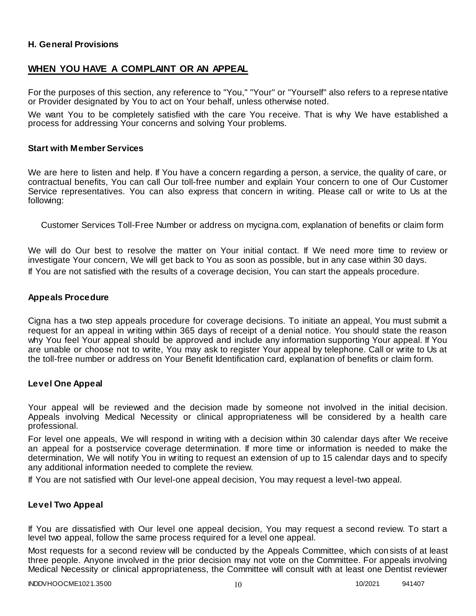### **H. General Provisions**

# **WHEN YOU HAVE A COMPLAINT OR AN APPEAL**

For the purposes of this section, any reference to "You," "Your" or "Yourself" also refers to a represe ntative or Provider designated by You to act on Your behalf, unless otherwise noted.

We want You to be completely satisfied with the care You receive. That is why We have established a process for addressing Your concerns and solving Your problems.

#### **Start with Member Services**

We are here to listen and help. If You have a concern regarding a person, a service, the quality of care, or contractual benefits, You can call Our toll-free number and explain Your concern to one of Our Customer Service representatives. You can also express that concern in writing. Please call or write to Us at the following:

Customer Services Toll-Free Number or address on mycigna.com, explanation of benefits or claim form

We will do Our best to resolve the matter on Your initial contact. If We need more time to review or investigate Your concern, We will get back to You as soon as possible, but in any case within 30 days. If You are not satisfied with the results of a coverage decision, You can start the appeals procedure.

#### **Appeals Procedure**

Cigna has a two step appeals procedure for coverage decisions. To initiate an appeal, You must submit a request for an appeal in writing within 365 days of receipt of a denial notice. You should state the reason why You feel Your appeal should be approved and include any information supporting Your appeal. If You are unable or choose not to write, You may ask to register Your appeal by telephone. Call or write to Us at the toll-free number or address on Your Benefit Identification card, explanation of benefits or claim form.

#### **Level One Appeal**

Your appeal will be reviewed and the decision made by someone not involved in the initial decision. Appeals involving Medical Necessity or clinical appropriateness will be considered by a health care professional.

For level one appeals, We will respond in writing with a decision within 30 calendar days after We receive an appeal for a postservice coverage determination. If more time or information is needed to make the determination, We will notify You in writing to request an extension of up to 15 calendar days and to specify any additional information needed to complete the review.

If You are not satisfied with Our level-one appeal decision, You may request a level-two appeal.

#### **Level Two Appeal**

If You are dissatisfied with Our level one appeal decision, You may request a second review. To start a level two appeal, follow the same process required for a level one appeal.

Most requests for a second review will be conducted by the Appeals Committee, which con sists of at least three people. Anyone involved in the prior decision may not vote on the Committee. For appeals involving Medical Necessity or clinical appropriateness, the Committee will consult with at least one Dentist reviewer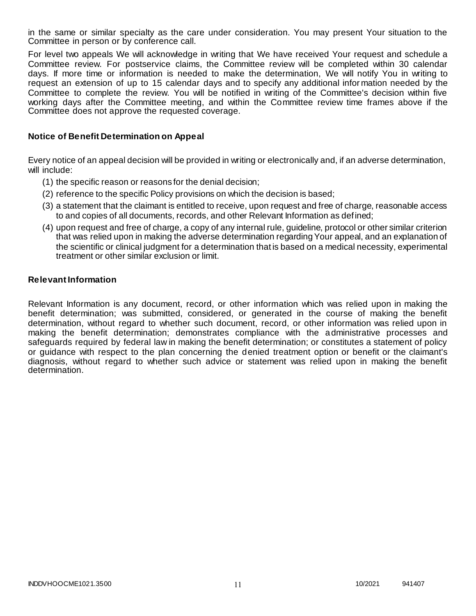in the same or similar specialty as the care under consideration. You may present Your situation to the Committee in person or by conference call.

For level two appeals We will acknowledge in writing that We have received Your request and schedule a Committee review. For postservice claims, the Committee review will be completed within 30 calendar days. If more time or information is needed to make the determination, We will notify You in writing to request an extension of up to 15 calendar days and to specify any additional infor mation needed by the Committee to complete the review. You will be notified in writing of the Committee's decision within five working days after the Committee meeting, and within the Committee review time frames above if the Committee does not approve the requested coverage.

#### **Notice of Benefit Determination on Appeal**

Every notice of an appeal decision will be provided in writing or electronically and, if an adverse determination, will include:

- (1) the specific reason or reasons for the denial decision;
- (2) reference to the specific Policy provisions on which the decision is based;
- (3) a statement that the claimant is entitled to receive, upon request and free of charge, reasonable access to and copies of all documents, records, and other Relevant Information as defined;
- (4) upon request and free of charge, a copy of any internal rule, guideline, protocol or other similar criterion that was relied upon in making the adverse determination regarding Your appeal, and an explanation of the scientific or clinical judgment for a determination that is based on a medical necessity, experimental treatment or other similar exclusion or limit.

#### **Relevant Information**

Relevant Information is any document, record, or other information which was relied upon in making the benefit determination; was submitted, considered, or generated in the course of making the benefit determination, without regard to whether such document, record, or other information was relied upon in making the benefit determination; demonstrates compliance with the administrative processes and safeguards required by federal law in making the benefit determination; or constitutes a statement of policy or guidance with respect to the plan concerning the denied treatment option or benefit or the claimant's diagnosis, without regard to whether such advice or statement was relied upon in making the benefit determination.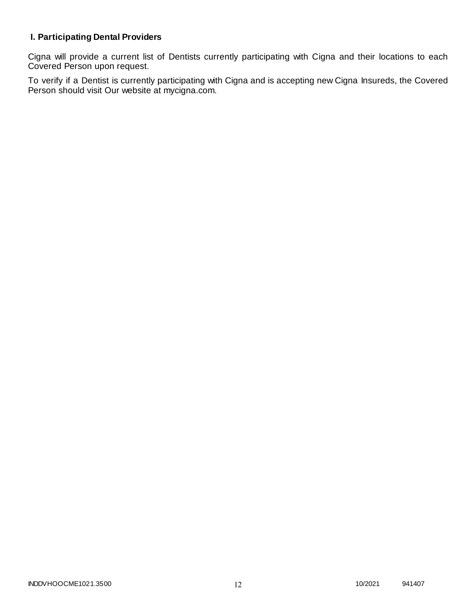# **I. Participating Dental Providers**

Cigna will provide a current list of Dentists currently participating with Cigna and their locations to each Covered Person upon request.

To verify if a Dentist is currently participating with Cigna and is accepting new Cigna Insureds, the Covered Person should visit Our website at mycigna.com.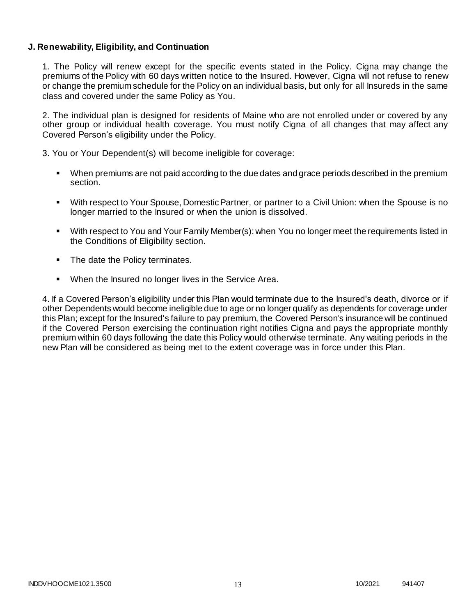### **J. Renewability, Eligibility, and Continuation**

1. The Policy will renew except for the specific events stated in the Policy. Cigna may change the premiums of the Policy with 60 days written notice to the Insured. However, Cigna will not refuse to renew or change the premium schedule for the Policy on an individual basis, but only for all Insureds in the same class and covered under the same Policy as You.

2. The individual plan is designed for residents of Maine who are not enrolled under or covered by any other group or individual health coverage. You must notify Cigna of all changes that may affect any Covered Person's eligibility under the Policy.

3. You or Your Dependent(s) will become ineligible for coverage:

- When premiums are not paid according to the due dates and grace periods described in the premium section.
- With respect to Your Spouse, Domestic Partner, or partner to a Civil Union: when the Spouse is no longer married to the Insured or when the union is dissolved.
- With respect to You and Your Family Member(s): when You no longer meet the requirements listed in the Conditions of Eligibility section.
- The date the Policy terminates.
- When the Insured no longer lives in the Service Area.

4. If a Covered Person's eligibility under this Plan would terminate due to the Insured's death, divorce or if other Dependents would become ineligible due to age or no longer qualify as dependents for coverage under this Plan; except for the Insured's failure to pay premium, the Covered Person's insurance will be continued if the Covered Person exercising the continuation right notifies Cigna and pays the appropriate monthly premium within 60 days following the date this Policy would otherwise terminate. Any waiting periods in the new Plan will be considered as being met to the extent coverage was in force under this Plan.